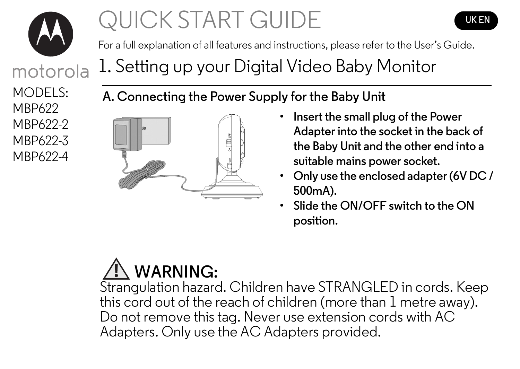

motorola

# QUICK START GUIDE



For a full explanation of all features and instructions, please refer to the User's Guide.

1. Setting up your Digital Video Baby Monitor

MODELS: MBP622 MBP622-2 MBP622-3 MBP622-4

**A. Connecting the Power Supply for the Baby Unit**



- **Insert the small plug of the Power Adapter into the socket in the back of the Baby Unit and the other end into a suitable mains power socket.**
- **Only use the enclosed adapter (6V DC / 500mA).**
- **Slide the ON/OFF switch to the ON position.**

# **WARNING:**

Strangulation hazard. Children have STRANGLED in cords. Keep this cord out of the reach of children (more than 1 metre away). Do not remove this tag. Never use extension cords with AC Adapters. Only use the AC Adapters provided.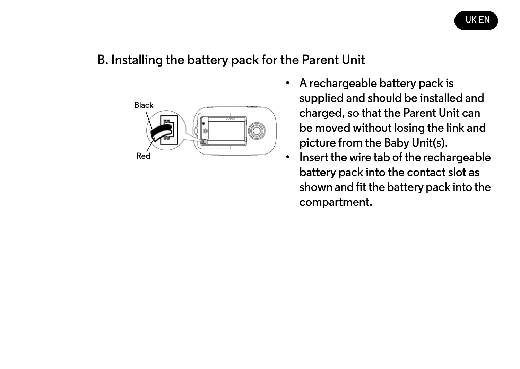

#### **B. Installing the battery pack for the Parent Unit**



- **A rechargeable battery pack is supplied and should be installed and charged, so that the Parent Unit can be moved without losing the link and picture from the Baby Unit(s).**
- **Insert the wire tab of the rechargeable battery pack into the contact slot as shown and fit the battery pack into the compartment.**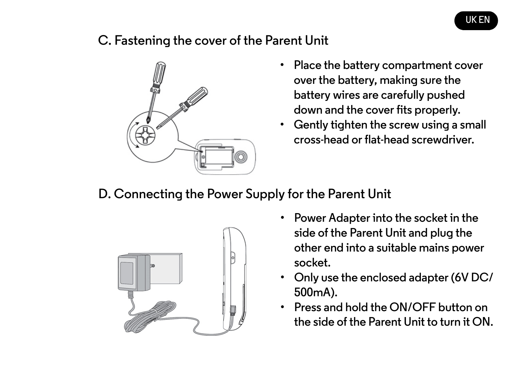#### **C. Fastening the cover of the Parent Unit**



- **Place the battery compartment cover over the battery, making sure the battery wires are carefully pushed down and the cover fits properly.**
- **Gently tighten the screw using a small cross-head or flat-head screwdriver.**

**D. Connecting the Power Supply for the Parent Unit**



- **Power Adapter into the socket in the side of the Parent Unit and plug the other end into a suitable mains power socket.**
- **Only use the enclosed adapter (6V DC/ 500mA).**
- **Press and hold the ON/OFF button on the side of the Parent Unit to turn it ON.**

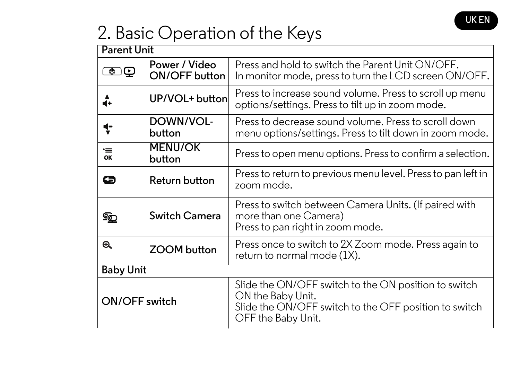

### 2. Basic Operation of the Keys

| <b>Parent Unit</b> |                                |                                                                                                                                                          |  |
|--------------------|--------------------------------|----------------------------------------------------------------------------------------------------------------------------------------------------------|--|
| پ                  | Power / Video<br>ON/OFF button | Press and hold to switch the Parent Unit ON/OFF.<br>In monitor mode, press to turn the LCD screen ON/OFF.                                                |  |
| d+                 | UP/VOL+ buttonl                | Press to increase sound volume. Press to scroll up menu<br>options/settings. Press to tilt up in zoom mode.                                              |  |
| ţ                  | DOWN/VOL-<br>button            | Press to decrease sound volume. Press to scroll down<br>menu options/settings. Press to tilt down in zoom mode.                                          |  |
| ≔<br>ок            | <b>MENU/OK</b><br>button       | Press to open menu options. Press to confirm a selection.                                                                                                |  |
| G                  | Return button                  | Press to return to previous menu level. Press to pan left in<br>zoom mode.                                                                               |  |
| q                  | Switch Camera                  | Press to switch between Camera Units. (If paired with<br>more than one Camera)<br>Press to pan right in zoom mode.                                       |  |
| $\mathfrak{B}$     | ZOOM button                    | Press once to switch to 2X Zoom mode. Press again to<br>return to normal mode (1X).                                                                      |  |
| <b>Baby Unit</b>   |                                |                                                                                                                                                          |  |
| ON/OFF switch      |                                | Slide the ON/OFF switch to the ON position to switch<br>ON the Baby Unit.<br>Slide the ON/OFF switch to the OFF position to switch<br>OFF the Baby Unit. |  |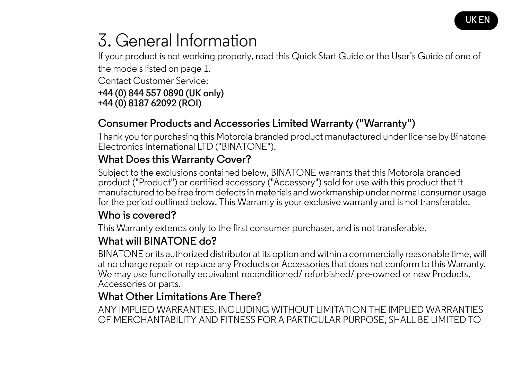

## 3. General Information

If your product is not working properly, read this Quick Start Guide or the User's Guide of one of the models listed on page 1.

Contact Customer Service:

#### **+44 (0) 844 557 0890 (UK only) +44 (0) 8187 62092 (ROI)**

#### **Consumer Products and Accessories Limited Warranty ("Warranty")**

Thank you for purchasing this Motorola branded product manufactured under license by Binatone Electronics International LTD ("BINATONE").

#### **What Does this Warranty Cover?**

Subject to the exclusions contained below, BINATONE warrants that this Motorola branded product ("Product") or certified accessory ("Accessory") sold for use with this product that it manufactured to be free from defects in materials and workmanship under normal consumer usage for the period outlined below. This Warranty is your exclusive warranty and is not transferable.

#### **Who is covered?**

This Warranty extends only to the first consumer purchaser, and is not transferable.

### **What will BINATONE do?**

BINATONE or its authorized distributor at its option and within a commercially reasonable time, will at no charge repair or replace any Products or Accessories that does not conform to this Warranty. We may use functionally equivalent reconditioned/ refurbished/ pre-owned or new Products, Accessories or parts.

### **What Other Limitations Are There?**

ANY IMPLIED WARRANTIES, INCLUDING WITHOUT LIMITATION THE IMPLIED WARRANTIES OF MERCHANTABILITY AND FITNESS FOR A PARTICULAR PURPOSE, SHALL BE LIMITED TO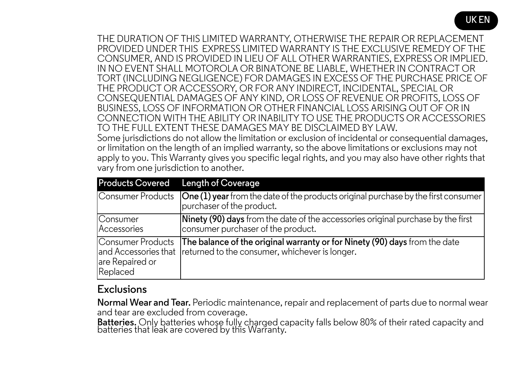THE DURATION OF THIS LIMITED WARRANTY, OTHERWISE THE REPAIR OR REPLACEMENT PROVIDED UNDER THIS EXPRESS LIMITED WARRANTY IS THE EXCLUSIVE REMEDY OF THE CONSUMER, AND IS PROVIDED IN LIEU OF ALL OTHER WARRANTIES, EXPRESS OR IMPLIED. IN NO EVENT SHALL MOTOROLA OR BINATONE BE LIABLE, WHETHER IN CONTRACT OR TORT (INCLUDING NEGLIGENCE) FOR DAMAGES IN EXCESS OF THE PURCHASE PRICE OF THE PRODUCT OR ACCESSORY, OR FOR ANY INDIRECT, INCIDENTAL, SPECIAL OR CONSEQUENTIAL DAMAGES OF ANY KIND, OR LOSS OF REVENUE OR PROFITS, LOSS OF BUSINESS, LOSS OF INFORMATION OR OTHER FINANCIAL LOSS ARISING OUT OF OR IN CONNECTION WITH THE ABILITY OR INABILITY TO USE THE PRODUCTS OR ACCESSORIES TO THE FULL EXTENT THESE DAMAGES MAY BE DISCLAIMED BY LAW.

Some jurisdictions do not allow the limitation or exclusion of incidental or consequential damages, or limitation on the length of an implied warranty, so the above limitations or exclusions may not apply to you. This Warranty gives you specific legal rights, and you may also have other rights that vary from one jurisdiction to another.

| <b>Products Covered</b>                          | Length of Coverage                                                                                                                                 |
|--------------------------------------------------|----------------------------------------------------------------------------------------------------------------------------------------------------|
| Consumer Products                                | $\vert$ One (1) year from the date of the products original purchase by the first consumer<br>purchaser of the product.                            |
| Consumer<br>Accessories                          | <b>Ninety (90) days</b> from the date of the accessories original purchase by the first<br>consumer purchaser of the product.                      |
| Consumer Products<br>are Repaired or<br>Replaced | The balance of the original warranty or for Ninety (90) days from the date<br>and Accessories that Ireturned to the consumer, whichever is longer. |

#### **Exclusions**

**Normal Wear and Tear.** Periodic maintenance, repair and replacement of parts due to normal wear and tear are excluded from coverage.

**Batteries.** Only batteries whose fully charged capacity falls below 80% of their rated capacity and<br>batteries that leak are covered by this Warranty.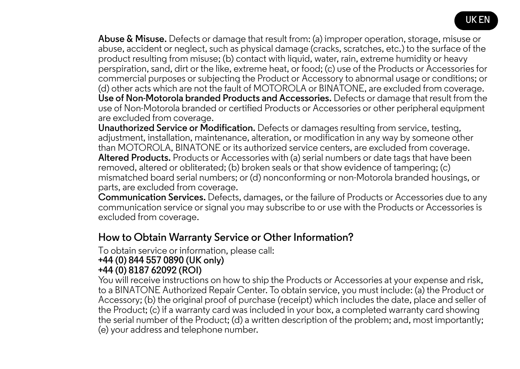

**Abuse & Misuse.** Defects or damage that result from: (a) improper operation, storage, misuse or abuse, accident or neglect, such as physical damage (cracks, scratches, etc.) to the surface of the product resulting from misuse; (b) contact with liquid, water, rain, extreme humidity or heavy perspiration, sand, dirt or the like, extreme heat, or food; (c) use of the Products or Accessories for commercial purposes or subjecting the Product or Accessory to abnormal usage or conditions; or (d) other acts which are not the fault of MOTOROLA or BINATONE, are excluded from coverage. **Use of Non-Motorola branded Products and Accessories.** Defects or damage that result from the use of Non-Motorola branded or certified Products or Accessories or other peripheral equipment are excluded from coverage.

**Unauthorized Service or Modification.** Defects or damages resulting from service, testing, adjustment, installation, maintenance, alteration, or modification in any way by someone other than MOTOROLA, BINATONE or its authorized service centers, are excluded from coverage. **Altered Products.** Products or Accessories with (a) serial numbers or date tags that have been removed, altered or obliterated; (b) broken seals or that show evidence of tampering; (c) mismatched board serial numbers; or (d) nonconforming or non-Motorola branded housings, or parts, are excluded from coverage.

**Communication Services.** Defects, damages, or the failure of Products or Accessories due to any communication service or signal you may subscribe to or use with the Products or Accessories is excluded from coverage.

#### **How to Obtain Warranty Service or Other Information?**

To obtain service or information, please call:

#### **+44 (0) 844 557 0890 (UK only) +44 (0) 8187 62092 (ROI)**

You will receive instructions on how to ship the Products or Accessories at your expense and risk, to a BINATONE Authorized Repair Center. To obtain service, you must include: (a) the Product or Accessory; (b) the original proof of purchase (receipt) which includes the date, place and seller of the Product; (c) if a warranty card was included in your box, a completed warranty card showing the serial number of the Product; (d) a written description of the problem; and, most importantly; (e) your address and telephone number.